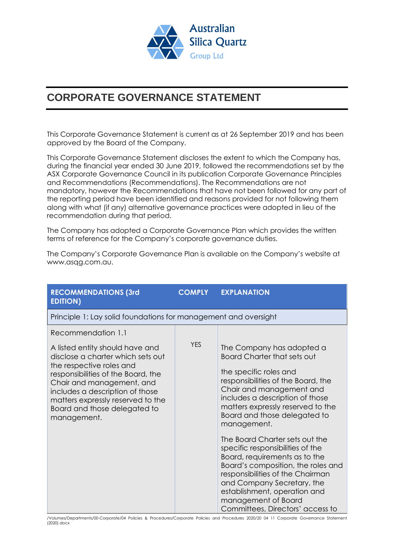

## **CORPORATE GOVERNANCE STATEMENT**

This Corporate Governance Statement is current as at 26 September 2019 and has been approved by the Board of the Company.

This Corporate Governance Statement discloses the extent to which the Company has, during the financial year ended 30 June 2019, followed the recommendations set by the ASX Corporate Governance Council in its publication Corporate Governance Principles and Recommendations (Recommendations). The Recommendations are not mandatory, however the Recommendations that have not been followed for any part of the reporting period have been identified and reasons provided for not following them along with what (if any) alternative governance practices were adopted in lieu of the recommendation during that period.

The Company has adopted a Corporate Governance Plan which provides the written terms of reference for the Company's corporate governance duties.

The Company's Corporate Governance Plan is available on the Company's website at www.asqg.com.au.

| <b>RECOMMENDATIONS (3rd</b><br><b>EDITION)</b>                                                                                                                                                                                                                                                                   | <b>COMPLY</b> | <b>EXPLANATION</b>                                                                                                                                                                                                                                                                                                                                                                                                                                                                                                                                                                           |
|------------------------------------------------------------------------------------------------------------------------------------------------------------------------------------------------------------------------------------------------------------------------------------------------------------------|---------------|----------------------------------------------------------------------------------------------------------------------------------------------------------------------------------------------------------------------------------------------------------------------------------------------------------------------------------------------------------------------------------------------------------------------------------------------------------------------------------------------------------------------------------------------------------------------------------------------|
| Principle 1: Lay solid foundations for management and oversight                                                                                                                                                                                                                                                  |               |                                                                                                                                                                                                                                                                                                                                                                                                                                                                                                                                                                                              |
| Recommendation 1.1<br>A listed entity should have and<br>disclose a charter which sets out<br>the respective roles and<br>responsibilities of the Board, the<br>Chair and management, and<br>includes a description of those<br>matters expressly reserved to the<br>Board and those delegated to<br>management. | <b>YES</b>    | The Company has adopted a<br><b>Board Charter that sets out</b><br>the specific roles and<br>responsibilities of the Board, the<br>Chair and management and<br>includes a description of those<br>matters expressly reserved to the<br>Board and those delegated to<br>management.<br>The Board Charter sets out the<br>specific responsibilities of the<br>Board, requirements as to the<br>Board's composition, the roles and<br>responsibilities of the Chairman<br>and Company Secretary, the<br>establishment, operation and<br>management of Board<br>Committees, Directors' access to |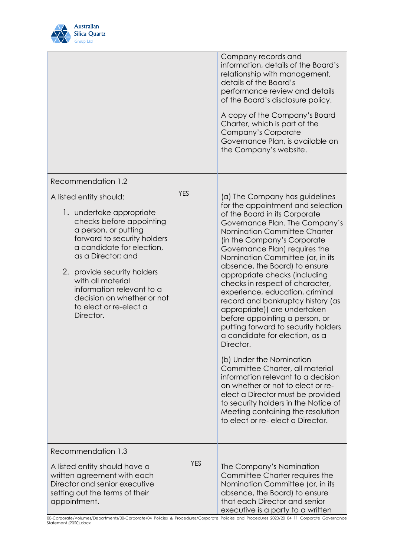

|                                                                                                                                                                                                                                                                                                                                                                       |            | Company records and<br>information, details of the Board's<br>relationship with management,<br>details of the Board's<br>performance review and details<br>of the Board's disclosure policy.<br>A copy of the Company's Board<br>Charter, which is part of the<br>Company's Corporate<br>Governance Plan, is available on<br>the Company's website.                                                                                                                                                                                                                                                                                                                                                                                                                                                                                                                                                             |
|-----------------------------------------------------------------------------------------------------------------------------------------------------------------------------------------------------------------------------------------------------------------------------------------------------------------------------------------------------------------------|------------|-----------------------------------------------------------------------------------------------------------------------------------------------------------------------------------------------------------------------------------------------------------------------------------------------------------------------------------------------------------------------------------------------------------------------------------------------------------------------------------------------------------------------------------------------------------------------------------------------------------------------------------------------------------------------------------------------------------------------------------------------------------------------------------------------------------------------------------------------------------------------------------------------------------------|
| Recommendation 1.2<br>A listed entity should:<br>1. undertake appropriate<br>checks before appointing<br>a person, or putting<br>forward to security holders<br>a candidate for election,<br>as a Director; and<br>2. provide security holders<br>with all material<br>information relevant to a<br>decision on whether or not<br>to elect or re-elect a<br>Director. | <b>YES</b> | (a) The Company has guidelines<br>for the appointment and selection<br>of the Board in its Corporate<br>Governance Plan. The Company's<br>Nomination Committee Charter<br>(in the Company's Corporate<br>Governance Plan) requires the<br>Nomination Committee (or, in its<br>absence, the Board) to ensure<br>appropriate checks (including<br>checks in respect of character,<br>experience, education, criminal<br>record and bankruptcy history (as<br>appropriate)) are undertaken<br>before appointing a person, or<br>putting forward to security holders<br>a candidate for election, as a<br>Director.<br>(b) Under the Nomination<br>Committee Charter, all material<br>information relevant to a decision<br>on whether or not to elect or re-<br>elect a Director must be provided<br>to security holders in the Notice of<br>Meeting containing the resolution<br>to elect or re-elect a Director. |
| Recommendation 1.3<br>A listed entity should have a<br>written agreement with each<br>Director and senior executive<br>setting out the terms of their<br>appointment.                                                                                                                                                                                                 | <b>YES</b> | The Company's Nomination<br>Committee Charter requires the<br>Nomination Committee (or, in its<br>absence, the Board) to ensure<br>that each Director and senior<br>executive is a party to a written                                                                                                                                                                                                                                                                                                                                                                                                                                                                                                                                                                                                                                                                                                           |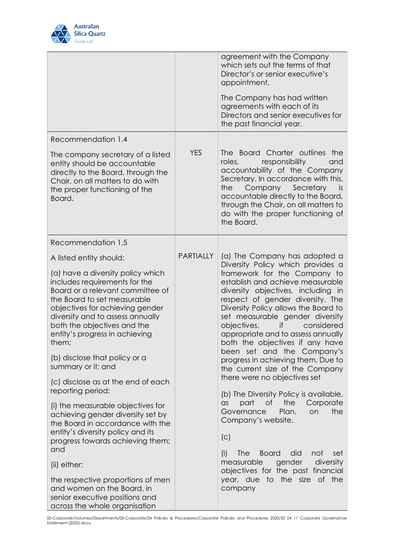

|                                                                                                                                                                                                                                                                                                                                                                                                                                                                                                                                                                                                                                                                                                                                                                                                               |                  | agreement with the Company<br>which sets out the terms of that<br>Director's or senior executive's<br>appointment.<br>The Company has had written<br>agreements with each of its<br>Directors and senior executives for<br>the past financial year.                                                                                                                                                                                                                                                                                                                                                                                                                                                                                                                                                                                                                               |
|---------------------------------------------------------------------------------------------------------------------------------------------------------------------------------------------------------------------------------------------------------------------------------------------------------------------------------------------------------------------------------------------------------------------------------------------------------------------------------------------------------------------------------------------------------------------------------------------------------------------------------------------------------------------------------------------------------------------------------------------------------------------------------------------------------------|------------------|-----------------------------------------------------------------------------------------------------------------------------------------------------------------------------------------------------------------------------------------------------------------------------------------------------------------------------------------------------------------------------------------------------------------------------------------------------------------------------------------------------------------------------------------------------------------------------------------------------------------------------------------------------------------------------------------------------------------------------------------------------------------------------------------------------------------------------------------------------------------------------------|
| Recommendation 1.4<br>The company secretary of a listed<br>entity should be accountable<br>directly to the Board, through the<br>Chair, on all matters to do with<br>the proper functioning of the<br>Board.                                                                                                                                                                                                                                                                                                                                                                                                                                                                                                                                                                                                  | <b>YES</b>       | The Board Charter outlines the<br>responsibility<br>roles,<br>and<br>accountability of the Company<br>Secretary. In accordance with this,<br>Company Secretary<br>the<br>is.<br>accountable directly to the Board,<br>through the Chair, on all matters to<br>do with the proper functioning of<br>the Board.                                                                                                                                                                                                                                                                                                                                                                                                                                                                                                                                                                     |
| Recommendation 1.5<br>A listed entity should:<br>(a) have a diversity policy which<br>includes requirements for the<br>Board or a relevant committee of<br>the Board to set measurable<br>objectives for achieving gender<br>diversity and to assess annually<br>both the objectives and the<br>entity's progress in achieving<br>them;<br>(b) disclose that policy or a<br>summary or it; and<br>(c) disclose as at the end of each<br>reporting period:<br>(i) the measurable objectives for<br>achieving gender diversity set by<br>the Board in accordance with the<br>entity's diversity policy and its<br>progress towards achieving them;<br>and<br>(ii) either:<br>the respective proportions of men<br>and women on the Board, in<br>senior executive positions and<br>across the whole organisation | <b>PARTIALLY</b> | (a) The Company has adopted a<br>Diversity Policy which provides a<br>framework for the Company to<br>establish and achieve measurable<br>diversity objectives, including in<br>respect of gender diversity. The<br>Diversity Policy allows the Board to<br>set measurable gender diversity<br>objectives,<br>considered<br>if<br>appropriate and to assess annually<br>both the objectives if any have<br>been set and the Company's<br>progress in achieving them. Due to<br>the current size of the Company<br>there were no objectives set<br>(b) The Diversity Policy is available,<br>of<br>the<br>Corporate<br>part<br>$\alpha$ s<br>Plan,<br>the<br>Governance<br>on<br>Company's website.<br>(C)<br>did<br>The<br>(i)<br><b>Board</b><br>not<br>set<br>gender<br>diversity<br>measurable<br>objectives for the past financial<br>year, due to the size of the<br>company |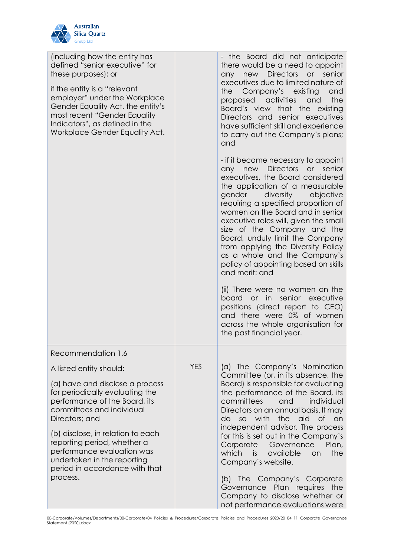

| (including how the entity has<br>defined "senior executive" for<br>these purposes); or<br>if the entity is a "relevant<br>employer" under the Workplace<br>Gender Equality Act, the entity's<br>most recent "Gender Equality<br>Indicators", as defined in the<br>Workplace Gender Equality Act. |            | - the Board did not anticipate<br>there would be a need to appoint<br><b>Directors</b><br>or<br>senior<br>new<br>any<br>executives due to limited nature of<br>Company's<br>existing<br>the<br>and<br>activities<br>the<br>proposed<br>and<br>Board's view that the existing<br>Directors and senior executives<br>have sufficient skill and experience<br>to carry out the Company's plans;<br>and                                                                                                                    |
|--------------------------------------------------------------------------------------------------------------------------------------------------------------------------------------------------------------------------------------------------------------------------------------------------|------------|------------------------------------------------------------------------------------------------------------------------------------------------------------------------------------------------------------------------------------------------------------------------------------------------------------------------------------------------------------------------------------------------------------------------------------------------------------------------------------------------------------------------|
|                                                                                                                                                                                                                                                                                                  |            | - if it became necessary to appoint<br><b>Directors</b><br>senior<br>new<br>or<br>any<br>executives, the Board considered<br>the application of a measurable<br>gender<br>diversity<br>objective<br>requiring a specified proportion of<br>women on the Board and in senior<br>executive roles will, given the small<br>size of the Company and the<br>Board, unduly limit the Company<br>from applying the Diversity Policy<br>as a whole and the Company's<br>policy of appointing based on skills<br>and merit: and |
|                                                                                                                                                                                                                                                                                                  |            | (ii) There were no women on the<br>senior executive<br>board<br>or in<br>positions (direct report to CEO)<br>and there were 0% of women<br>across the whole organisation for<br>the past financial year.                                                                                                                                                                                                                                                                                                               |
| Recommendation 1.6                                                                                                                                                                                                                                                                               |            |                                                                                                                                                                                                                                                                                                                                                                                                                                                                                                                        |
| A listed entity should:                                                                                                                                                                                                                                                                          | <b>YES</b> | (a) The Company's Nomination<br>Committee (or, in its absence, the                                                                                                                                                                                                                                                                                                                                                                                                                                                     |
| (a) have and disclose a process<br>for periodically evaluating the<br>performance of the Board, its<br>committees and individual<br>Directors; and                                                                                                                                               |            | Board) is responsible for evaluating<br>the performance of the Board, its<br>committees<br>and<br>individual<br>Directors on an annual basis. It may<br>with<br>the<br>aid<br><b>of</b><br>do<br>SO<br>an<br>independent advisor. The process                                                                                                                                                                                                                                                                          |
| (b) disclose, in relation to each<br>reporting period, whether a<br>performance evaluation was<br>undertaken in the reporting<br>period in accordance with that                                                                                                                                  |            | for this is set out in the Company's<br>Corporate<br>Governance<br>Plan,<br>which<br>available<br>the<br>is.<br>on<br>Company's website.                                                                                                                                                                                                                                                                                                                                                                               |
| process.                                                                                                                                                                                                                                                                                         |            | (b) The Company's Corporate<br>Plan requires<br>Governance<br>the<br>Company to disclose whether or<br>not performance evaluations were                                                                                                                                                                                                                                                                                                                                                                                |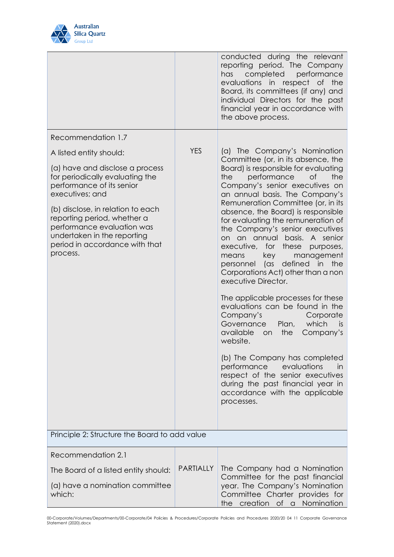

|                                                                                                                                                                                                                                                                                                   |                  | conducted during the relevant<br>reporting period. The Company<br>completed<br>performance<br>has<br>evaluations in respect of<br>the<br>Board, its committees (if any) and<br>individual Directors for the past<br>financial year in accordance with<br>the above process.                                                                                                                                                                                                                                                                                                                                                                                                                                                                                                                                                                                           |
|---------------------------------------------------------------------------------------------------------------------------------------------------------------------------------------------------------------------------------------------------------------------------------------------------|------------------|-----------------------------------------------------------------------------------------------------------------------------------------------------------------------------------------------------------------------------------------------------------------------------------------------------------------------------------------------------------------------------------------------------------------------------------------------------------------------------------------------------------------------------------------------------------------------------------------------------------------------------------------------------------------------------------------------------------------------------------------------------------------------------------------------------------------------------------------------------------------------|
| Recommendation 1.7                                                                                                                                                                                                                                                                                |                  |                                                                                                                                                                                                                                                                                                                                                                                                                                                                                                                                                                                                                                                                                                                                                                                                                                                                       |
| A listed entity should:                                                                                                                                                                                                                                                                           | <b>YES</b>       | (a) The Company's Nomination                                                                                                                                                                                                                                                                                                                                                                                                                                                                                                                                                                                                                                                                                                                                                                                                                                          |
| (a) have and disclose a process<br>for periodically evaluating the<br>performance of its senior<br>executives; and<br>(b) disclose, in relation to each<br>reporting period, whether a<br>performance evaluation was<br>undertaken in the reporting<br>period in accordance with that<br>process. |                  | Committee (or, in its absence, the<br>Board) is responsible for evaluating<br>the<br>the<br>performance<br><b>of</b><br>Company's senior executives on<br>an annual basis. The Company's<br>Remuneration Committee (or, in its<br>absence, the Board) is responsible<br>for evaluating the remuneration of<br>the Company's senior executives<br>on an annual basis.<br>A senior<br>executive,<br>these<br>for<br>purposes,<br>management<br>means<br>key<br>personnel (as<br>defined in the<br>Corporations Act) other than a non<br>executive Director.<br>The applicable processes for these<br>evaluations can be found in the<br>Company's<br>Corporate<br>Governance<br>Plan,<br>which<br><i>is</i><br>available<br>the<br>Company's<br>on<br>website.<br>(b) The Company has completed<br>evaluations<br>performance<br>in<br>respect of the senior executives |
|                                                                                                                                                                                                                                                                                                   |                  | during the past financial year in<br>accordance with the applicable<br>processes.                                                                                                                                                                                                                                                                                                                                                                                                                                                                                                                                                                                                                                                                                                                                                                                     |
|                                                                                                                                                                                                                                                                                                   |                  |                                                                                                                                                                                                                                                                                                                                                                                                                                                                                                                                                                                                                                                                                                                                                                                                                                                                       |
| Principle 2: Structure the Board to add value                                                                                                                                                                                                                                                     |                  |                                                                                                                                                                                                                                                                                                                                                                                                                                                                                                                                                                                                                                                                                                                                                                                                                                                                       |
| Recommendation 2.1                                                                                                                                                                                                                                                                                |                  |                                                                                                                                                                                                                                                                                                                                                                                                                                                                                                                                                                                                                                                                                                                                                                                                                                                                       |
| The Board of a listed entity should:                                                                                                                                                                                                                                                              | <b>PARTIALLY</b> | The Company had a Nomination                                                                                                                                                                                                                                                                                                                                                                                                                                                                                                                                                                                                                                                                                                                                                                                                                                          |
| (a) have a nomination committee<br>which:                                                                                                                                                                                                                                                         |                  | Committee for the past financial<br>year. The Company's Nomination<br>Committee Charter provides for<br>the creation of a Nomination                                                                                                                                                                                                                                                                                                                                                                                                                                                                                                                                                                                                                                                                                                                                  |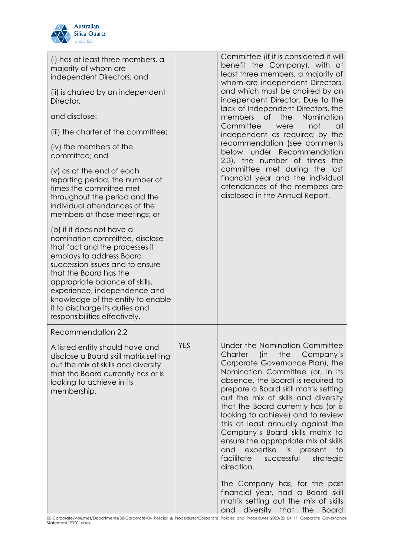

| (i) has at least three members, a<br>majority of whom are<br>independent Directors; and<br>(ii) is chaired by an independent<br>Director,<br>and disclose:<br>(iii) the charter of the committee;<br>(iv) the members of the<br>committee; and<br>$(v)$ as at the end of each<br>reporting period, the number of<br>times the committee met<br>throughout the period and the<br>individual attendances of the<br>members at those meetings; or<br>(b) if it does not have a<br>nomination committee, disclose<br>that fact and the processes it<br>employs to address Board<br>succession issues and to ensure<br>that the Board has the<br>appropriate balance of skills,<br>experience, independence and<br>knowledge of the entity to enable |            | Committee (if it is considered it will<br>benefit the Company), with at<br>least three members, a majority of<br>whom are independent Directors,<br>and which must be chaired by an<br>independent Director. Due to the<br>lack of Independent Directors, the<br>members<br>$\circ$ f<br>the<br>Nomination<br>Committee<br>not<br>were<br>all<br>independent as required by the<br>recommendation (see comments<br>below under Recommendation<br>2.3), the number of times the<br>committee met during the last<br>financial year and the individual<br>attendances of the members are<br>disclosed in the Annual Report. |
|-------------------------------------------------------------------------------------------------------------------------------------------------------------------------------------------------------------------------------------------------------------------------------------------------------------------------------------------------------------------------------------------------------------------------------------------------------------------------------------------------------------------------------------------------------------------------------------------------------------------------------------------------------------------------------------------------------------------------------------------------|------------|---------------------------------------------------------------------------------------------------------------------------------------------------------------------------------------------------------------------------------------------------------------------------------------------------------------------------------------------------------------------------------------------------------------------------------------------------------------------------------------------------------------------------------------------------------------------------------------------------------------------------|
| it to discharge its duties and<br>responsibilities effectively.                                                                                                                                                                                                                                                                                                                                                                                                                                                                                                                                                                                                                                                                                 |            |                                                                                                                                                                                                                                                                                                                                                                                                                                                                                                                                                                                                                           |
| Recommendation 2.2                                                                                                                                                                                                                                                                                                                                                                                                                                                                                                                                                                                                                                                                                                                              |            |                                                                                                                                                                                                                                                                                                                                                                                                                                                                                                                                                                                                                           |
| A listed entity should have and<br>disclose a Board skill matrix setting<br>out the mix of skills and diversity<br>that the Board currently has or is<br>looking to achieve in its<br>membership.                                                                                                                                                                                                                                                                                                                                                                                                                                                                                                                                               | <b>YES</b> | Under the Nomination Committee<br>Charter (in the Company's<br>Corporate Governance Plan), the<br>Nomination Committee (or, in its<br>absence, the Board) is required to<br>prepare a Board skill matrix setting<br>out the mix of skills and diversity<br>that the Board currently has (or is<br>looking to achieve) and to review<br>this at least annually against the<br>Company's Board skills matrix to<br>ensure the appropriate mix of skills<br>and expertise is present<br>$\overline{\phantom{a}}$ to<br>facilitate<br>successful<br>strategic<br>direction.                                                   |
|                                                                                                                                                                                                                                                                                                                                                                                                                                                                                                                                                                                                                                                                                                                                                 |            | The Company has, for the past<br>financial year, had a Board skill<br>matrix setting out the mix of skills<br>diversity that the Board<br>and                                                                                                                                                                                                                                                                                                                                                                                                                                                                             |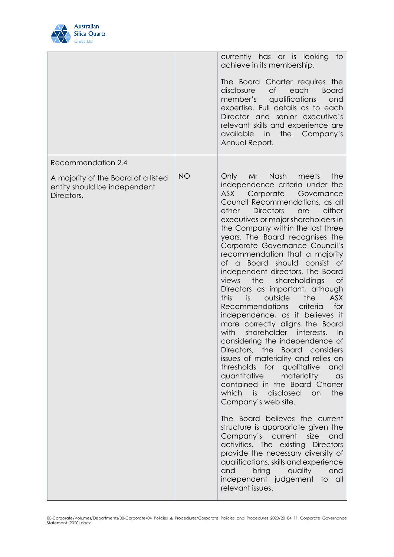

|                                                                                   |           | currently has or is looking<br>$\overline{1}$<br>achieve in its membership.<br>The Board Charter requires the<br><b>of</b><br>each<br><b>Board</b><br>disclosure<br>member's<br>qualifications<br>and<br>expertise. Full details as to each<br>Director and senior executive's<br>relevant skills and experience are<br>available in<br>the Company's<br>Annual Report.                                                                                                                                                                                                                                                                                                                                                                                                                                                                                                                                                                                                                                                                                                                                                                                                                                                                                                                                                                                      |
|-----------------------------------------------------------------------------------|-----------|--------------------------------------------------------------------------------------------------------------------------------------------------------------------------------------------------------------------------------------------------------------------------------------------------------------------------------------------------------------------------------------------------------------------------------------------------------------------------------------------------------------------------------------------------------------------------------------------------------------------------------------------------------------------------------------------------------------------------------------------------------------------------------------------------------------------------------------------------------------------------------------------------------------------------------------------------------------------------------------------------------------------------------------------------------------------------------------------------------------------------------------------------------------------------------------------------------------------------------------------------------------------------------------------------------------------------------------------------------------|
| Recommendation 2.4                                                                |           |                                                                                                                                                                                                                                                                                                                                                                                                                                                                                                                                                                                                                                                                                                                                                                                                                                                                                                                                                                                                                                                                                                                                                                                                                                                                                                                                                              |
| A majority of the Board of a listed<br>entity should be independent<br>Directors. | <b>NO</b> | Nash<br>Only<br>Mr<br>meets<br>the<br>independence criteria under the<br>Corporate<br>ASX<br>Governance<br>Council Recommendations, as all<br><b>Directors</b><br>other<br>either<br>are<br>executives or major shareholders in<br>the Company within the last three<br>years. The Board recognises the<br>Corporate Governance Council's<br>recommendation that a majority<br>of a<br>Board should consist of<br>independent directors. The Board<br>views<br>the<br>shareholdings<br><b>of</b><br>Directors as important, although<br>this<br><b>ASX</b><br>is<br>outside<br>the<br>criteria<br>Recommendations<br>for<br>independence, as it believes it<br>more correctly aligns the Board<br>with<br>shareholder interests.<br>$\ln$<br>considering the independence of<br>Directors, the Board considers<br>issues of materiality and relies on<br>thresholds for qualitative<br>and<br>quantitative materiality<br>$\alpha$ s<br>contained in the Board Charter<br>which<br>is i<br>the<br>disclosed<br>on<br>Company's web site.<br>The Board believes the current<br>structure is appropriate given the<br>Company's current size<br>and<br>activities. The existing Directors<br>provide the necessary diversity of<br>qualifications, skills and experience<br>and<br>bring<br>quality<br>and<br>independent judgement to all<br>relevant issues. |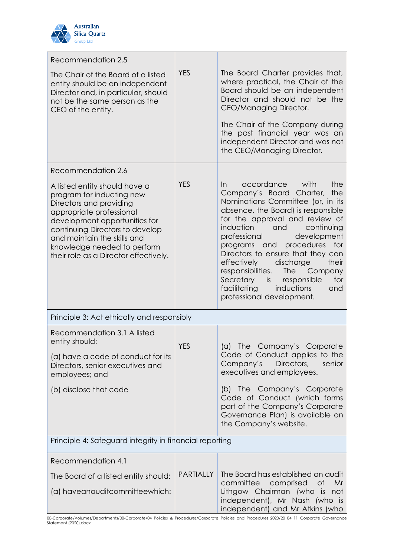

| Recommendation 2.5                                                                                                                                                                                                                                                                           |                  |                                                                                                                                                                                                                                                                                                                                                                                                                                                                                                                          |  |
|----------------------------------------------------------------------------------------------------------------------------------------------------------------------------------------------------------------------------------------------------------------------------------------------|------------------|--------------------------------------------------------------------------------------------------------------------------------------------------------------------------------------------------------------------------------------------------------------------------------------------------------------------------------------------------------------------------------------------------------------------------------------------------------------------------------------------------------------------------|--|
| The Chair of the Board of a listed<br>entity should be an independent<br>Director and, in particular, should<br>not be the same person as the<br>CEO of the entity.                                                                                                                          | <b>YES</b>       | The Board Charter provides that,<br>where practical, the Chair of the<br>Board should be an independent<br>Director and should not be the<br>CEO/Managing Director.                                                                                                                                                                                                                                                                                                                                                      |  |
|                                                                                                                                                                                                                                                                                              |                  | The Chair of the Company during<br>the past financial year was an<br>independent Director and was not<br>the CEO/Managing Director.                                                                                                                                                                                                                                                                                                                                                                                      |  |
| Recommendation 2.6                                                                                                                                                                                                                                                                           |                  |                                                                                                                                                                                                                                                                                                                                                                                                                                                                                                                          |  |
| A listed entity should have a<br>program for inducting new<br>Directors and providing<br>appropriate professional<br>development opportunities for<br>continuing Directors to develop<br>and maintain the skills and<br>knowledge needed to perform<br>their role as a Director effectively. | <b>YES</b>       | the<br>$\ln$<br>accordance with<br>Company's Board Charter,<br>the<br>Nominations Committee (or, in its<br>absence, the Board) is responsible<br>for the approval and review of<br>induction<br>and<br>continuing<br>professional<br>development<br>procedures<br>programs<br>for<br>and<br>Directors to ensure that they can<br>effectively<br>discharge<br>their<br><b>The</b><br>responsibilities.<br>Company<br>Secretary<br>for<br>is responsible<br>facilitating<br>inductions<br>and<br>professional development. |  |
| Principle 3: Act ethically and responsibly                                                                                                                                                                                                                                                   |                  |                                                                                                                                                                                                                                                                                                                                                                                                                                                                                                                          |  |
| Recommendation 3.1 A listed<br>entity should:                                                                                                                                                                                                                                                | <b>YES</b>       | The<br>Company's Corporate<br>(a)                                                                                                                                                                                                                                                                                                                                                                                                                                                                                        |  |
| (a) have a code of conduct for its<br>Directors, senior executives and<br>employees; and                                                                                                                                                                                                     |                  | Code of Conduct applies to the<br>Company's<br>Directors,<br>senior<br>executives and employees.                                                                                                                                                                                                                                                                                                                                                                                                                         |  |
| (b) disclose that code                                                                                                                                                                                                                                                                       |                  | (b) The Company's Corporate<br>Code of Conduct (which forms<br>part of the Company's Corporate<br>Governance Plan) is available on<br>the Company's website.                                                                                                                                                                                                                                                                                                                                                             |  |
| Principle 4: Safeguard integrity in financial reporting                                                                                                                                                                                                                                      |                  |                                                                                                                                                                                                                                                                                                                                                                                                                                                                                                                          |  |
| Recommendation 4.1                                                                                                                                                                                                                                                                           |                  |                                                                                                                                                                                                                                                                                                                                                                                                                                                                                                                          |  |
| The Board of a listed entity should:                                                                                                                                                                                                                                                         | <b>PARTIALLY</b> | The Board has established an audit<br>committee comprised<br><b>of</b><br>Mr                                                                                                                                                                                                                                                                                                                                                                                                                                             |  |
| (a) haveanauditcommitteewhich:                                                                                                                                                                                                                                                               |                  | Lithgow Chairman (who is not<br>independent), Mr Nash (who is<br>independent) and Mr Atkins (who                                                                                                                                                                                                                                                                                                                                                                                                                         |  |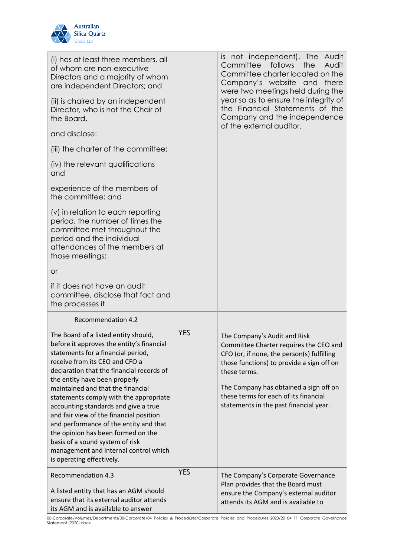

| (i) has at least three members, all<br>of whom are non-executive<br>Directors and a majority of whom<br>are independent Directors; and<br>(ii) is chaired by an independent<br>Director, who is not the Chair of<br>the Board,                                                                                                                                                                                                                                                                                                                                                                     |            | is not independent). The Audit<br>Committee follows<br>the<br>Audit<br>Committee charter located on the<br>Company's website and there<br>were two meetings held during the<br>year so as to ensure the integrity of<br>the Financial Statements of the<br>Company and the independence                        |
|----------------------------------------------------------------------------------------------------------------------------------------------------------------------------------------------------------------------------------------------------------------------------------------------------------------------------------------------------------------------------------------------------------------------------------------------------------------------------------------------------------------------------------------------------------------------------------------------------|------------|----------------------------------------------------------------------------------------------------------------------------------------------------------------------------------------------------------------------------------------------------------------------------------------------------------------|
| and disclose:                                                                                                                                                                                                                                                                                                                                                                                                                                                                                                                                                                                      |            | of the external auditor.                                                                                                                                                                                                                                                                                       |
| (iii) the charter of the committee;                                                                                                                                                                                                                                                                                                                                                                                                                                                                                                                                                                |            |                                                                                                                                                                                                                                                                                                                |
| (iv) the relevant qualifications<br>and                                                                                                                                                                                                                                                                                                                                                                                                                                                                                                                                                            |            |                                                                                                                                                                                                                                                                                                                |
| experience of the members of<br>the committee; and                                                                                                                                                                                                                                                                                                                                                                                                                                                                                                                                                 |            |                                                                                                                                                                                                                                                                                                                |
| (v) in relation to each reporting<br>period, the number of times the<br>committee met throughout the<br>period and the individual<br>attendances of the members at<br>those meetings;                                                                                                                                                                                                                                                                                                                                                                                                              |            |                                                                                                                                                                                                                                                                                                                |
| <b>or</b>                                                                                                                                                                                                                                                                                                                                                                                                                                                                                                                                                                                          |            |                                                                                                                                                                                                                                                                                                                |
| if it does not have an audit<br>committee, disclose that fact and<br>the processes it                                                                                                                                                                                                                                                                                                                                                                                                                                                                                                              |            |                                                                                                                                                                                                                                                                                                                |
| <b>Recommendation 4.2</b>                                                                                                                                                                                                                                                                                                                                                                                                                                                                                                                                                                          |            |                                                                                                                                                                                                                                                                                                                |
| The Board of a listed entity should,<br>before it approves the entity's financial<br>statements for a financial period,<br>receive from its CEO and CFO a<br>declaration that the financial records of<br>the entity have been properly<br>maintained and that the financial<br>statements comply with the appropriate<br>accounting standards and give a true<br>and fair view of the financial position<br>and performance of the entity and that<br>the opinion has been formed on the<br>basis of a sound system of risk<br>management and internal control which<br>is operating effectively. | <b>YES</b> | The Company's Audit and Risk<br>Committee Charter requires the CEO and<br>CFO (or, if none, the person(s) fulfilling<br>those functions) to provide a sign off on<br>these terms.<br>The Company has obtained a sign off on<br>these terms for each of its financial<br>statements in the past financial year. |
| <b>Recommendation 4.3</b><br>A listed entity that has an AGM should<br>ensure that its external auditor attends<br>its AGM and is available to answer                                                                                                                                                                                                                                                                                                                                                                                                                                              | <b>YES</b> | The Company's Corporate Governance<br>Plan provides that the Board must<br>ensure the Company's external auditor<br>attends its AGM and is available to                                                                                                                                                        |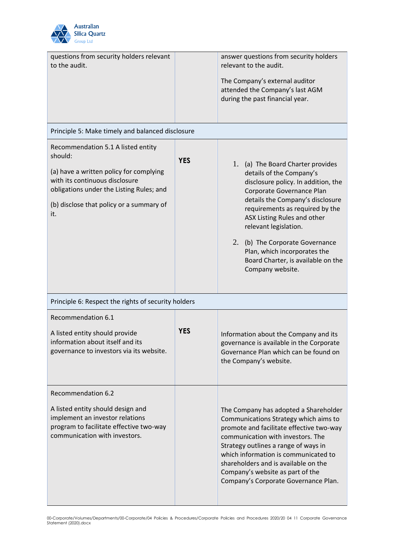

| questions from security holders relevant<br>to the audit.                                                                                                                                                                 |            | answer questions from security holders<br>relevant to the audit.<br>The Company's external auditor<br>attended the Company's last AGM<br>during the past financial year.                                                                                                                                                                                                                      |
|---------------------------------------------------------------------------------------------------------------------------------------------------------------------------------------------------------------------------|------------|-----------------------------------------------------------------------------------------------------------------------------------------------------------------------------------------------------------------------------------------------------------------------------------------------------------------------------------------------------------------------------------------------|
| Principle 5: Make timely and balanced disclosure                                                                                                                                                                          |            |                                                                                                                                                                                                                                                                                                                                                                                               |
| Recommendation 5.1 A listed entity<br>should:<br>(a) have a written policy for complying<br>with its continuous disclosure<br>obligations under the Listing Rules; and<br>(b) disclose that policy or a summary of<br>it. | <b>YES</b> | 1. (a) The Board Charter provides<br>details of the Company's<br>disclosure policy. In addition, the<br>Corporate Governance Plan<br>details the Company's disclosure<br>requirements as required by the<br>ASX Listing Rules and other<br>relevant legislation.<br>2. (b) The Corporate Governance<br>Plan, which incorporates the<br>Board Charter, is available on the<br>Company website. |
| Principle 6: Respect the rights of security holders                                                                                                                                                                       |            |                                                                                                                                                                                                                                                                                                                                                                                               |
| Recommendation 6.1<br>A listed entity should provide<br>information about itself and its<br>governance to investors via its website.                                                                                      | <b>YES</b> | Information about the Company and its<br>governance is available in the Corporate<br>Governance Plan which can be found on<br>the Company's website.                                                                                                                                                                                                                                          |
| Recommendation 6.2<br>A listed entity should design and<br>implement an investor relations<br>program to facilitate effective two-way<br>communication with investors.                                                    |            | The Company has adopted a Shareholder<br>Communications Strategy which aims to<br>promote and facilitate effective two-way<br>communication with investors. The<br>Strategy outlines a range of ways in<br>which information is communicated to<br>shareholders and is available on the<br>Company's website as part of the<br>Company's Corporate Governance Plan.                           |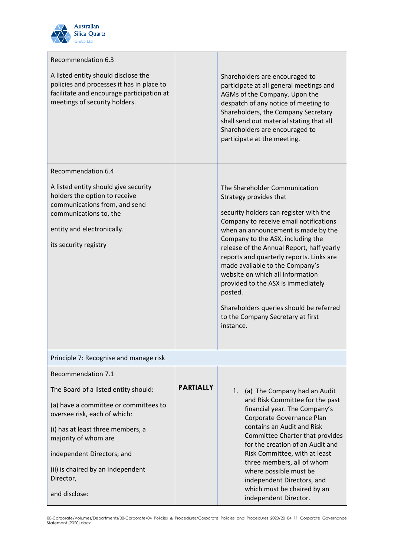

| Recommendation 6.3                                                                                                                                                                      |                  |                                                                                                                                                                                                                                                                                                                                                                                                                                                                                                                                       |
|-----------------------------------------------------------------------------------------------------------------------------------------------------------------------------------------|------------------|---------------------------------------------------------------------------------------------------------------------------------------------------------------------------------------------------------------------------------------------------------------------------------------------------------------------------------------------------------------------------------------------------------------------------------------------------------------------------------------------------------------------------------------|
| A listed entity should disclose the<br>policies and processes it has in place to<br>facilitate and encourage participation at<br>meetings of security holders.                          |                  | Shareholders are encouraged to<br>participate at all general meetings and<br>AGMs of the Company. Upon the<br>despatch of any notice of meeting to<br>Shareholders, the Company Secretary<br>shall send out material stating that all<br>Shareholders are encouraged to<br>participate at the meeting.                                                                                                                                                                                                                                |
| Recommendation 6.4                                                                                                                                                                      |                  |                                                                                                                                                                                                                                                                                                                                                                                                                                                                                                                                       |
| A listed entity should give security<br>holders the option to receive<br>communications from, and send<br>communications to, the<br>entity and electronically.<br>its security registry |                  | The Shareholder Communication<br>Strategy provides that<br>security holders can register with the<br>Company to receive email notifications<br>when an announcement is made by the<br>Company to the ASX, including the<br>release of the Annual Report, half yearly<br>reports and quarterly reports. Links are<br>made available to the Company's<br>website on which all information<br>provided to the ASX is immediately<br>posted.<br>Shareholders queries should be referred<br>to the Company Secretary at first<br>instance. |
| Principle 7: Recognise and manage risk                                                                                                                                                  |                  |                                                                                                                                                                                                                                                                                                                                                                                                                                                                                                                                       |
| Recommendation 7.1                                                                                                                                                                      |                  |                                                                                                                                                                                                                                                                                                                                                                                                                                                                                                                                       |
| The Board of a listed entity should:                                                                                                                                                    | <b>PARTIALLY</b> | 1. (a) The Company had an Audit                                                                                                                                                                                                                                                                                                                                                                                                                                                                                                       |
| (a) have a committee or committees to<br>oversee risk, each of which:                                                                                                                   |                  | and Risk Committee for the past<br>financial year. The Company's<br>Corporate Governance Plan                                                                                                                                                                                                                                                                                                                                                                                                                                         |
| (i) has at least three members, a<br>majority of whom are                                                                                                                               |                  | contains an Audit and Risk<br>Committee Charter that provides<br>for the creation of an Audit and                                                                                                                                                                                                                                                                                                                                                                                                                                     |
| independent Directors; and                                                                                                                                                              |                  | Risk Committee, with at least<br>three members, all of whom                                                                                                                                                                                                                                                                                                                                                                                                                                                                           |
| (ii) is chaired by an independent<br>Director,                                                                                                                                          |                  | where possible must be<br>independent Directors, and                                                                                                                                                                                                                                                                                                                                                                                                                                                                                  |
| and disclose:                                                                                                                                                                           |                  | which must be chaired by an<br>independent Director.                                                                                                                                                                                                                                                                                                                                                                                                                                                                                  |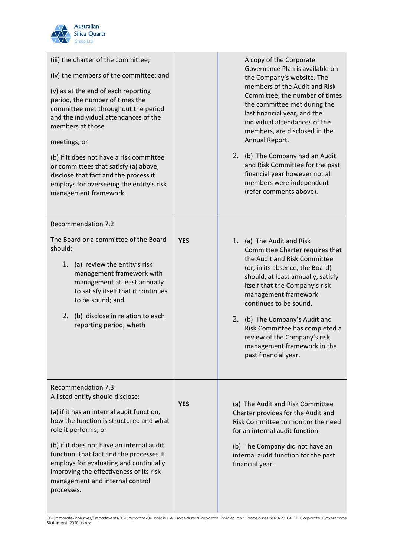

| (iii) the charter of the committee;<br>(iv) the members of the committee; and<br>(v) as at the end of each reporting<br>period, the number of times the<br>committee met throughout the period<br>and the individual attendances of the<br>members at those<br>meetings; or<br>(b) if it does not have a risk committee<br>or committees that satisfy (a) above,<br>disclose that fact and the process it<br>employs for overseeing the entity's risk<br>management framework. |            | A copy of the Corporate<br>Governance Plan is available on<br>the Company's website. The<br>members of the Audit and Risk<br>Committee, the number of times<br>the committee met during the<br>last financial year, and the<br>individual attendances of the<br>members, are disclosed in the<br>Annual Report.<br>2. (b) The Company had an Audit<br>and Risk Committee for the past<br>financial year however not all<br>members were independent<br>(refer comments above). |
|--------------------------------------------------------------------------------------------------------------------------------------------------------------------------------------------------------------------------------------------------------------------------------------------------------------------------------------------------------------------------------------------------------------------------------------------------------------------------------|------------|--------------------------------------------------------------------------------------------------------------------------------------------------------------------------------------------------------------------------------------------------------------------------------------------------------------------------------------------------------------------------------------------------------------------------------------------------------------------------------|
| <b>Recommendation 7.2</b><br>The Board or a committee of the Board<br>should:<br>1. (a) review the entity's risk<br>management framework with<br>management at least annually<br>to satisfy itself that it continues<br>to be sound; and<br>2.<br>(b) disclose in relation to each<br>reporting period, wheth                                                                                                                                                                  | <b>YES</b> | 1. (a) The Audit and Risk<br>Committee Charter requires that<br>the Audit and Risk Committee<br>(or, in its absence, the Board)<br>should, at least annually, satisfy<br>itself that the Company's risk<br>management framework<br>continues to be sound.<br>2. (b) The Company's Audit and<br>Risk Committee has completed a<br>review of the Company's risk<br>management framework in the<br>past financial year.                                                           |
| <b>Recommendation 7.3</b><br>A listed entity should disclose:<br>(a) if it has an internal audit function,<br>how the function is structured and what<br>role it performs; or<br>(b) if it does not have an internal audit<br>function, that fact and the processes it<br>employs for evaluating and continually<br>improving the effectiveness of its risk<br>management and internal control<br>processes.                                                                   | <b>YES</b> | (a) The Audit and Risk Committee<br>Charter provides for the Audit and<br>Risk Committee to monitor the need<br>for an internal audit function.<br>(b) The Company did not have an<br>internal audit function for the past<br>financial year.                                                                                                                                                                                                                                  |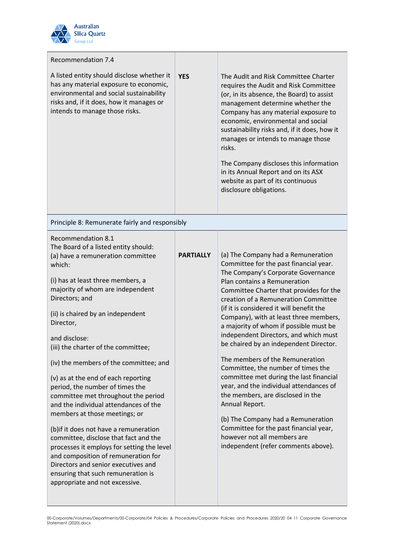

| <b>Recommendation 7.4</b>                                                                                                                                                                                                                                                                                                                                                                                                                                                      |                  |                                                                                                                                                                                                                                                                                                                                                                                                                                                                                                                                   |  |
|--------------------------------------------------------------------------------------------------------------------------------------------------------------------------------------------------------------------------------------------------------------------------------------------------------------------------------------------------------------------------------------------------------------------------------------------------------------------------------|------------------|-----------------------------------------------------------------------------------------------------------------------------------------------------------------------------------------------------------------------------------------------------------------------------------------------------------------------------------------------------------------------------------------------------------------------------------------------------------------------------------------------------------------------------------|--|
| A listed entity should disclose whether it<br>has any material exposure to economic,<br>environmental and social sustainability<br>risks and, if it does, how it manages or<br>intends to manage those risks.                                                                                                                                                                                                                                                                  | <b>YES</b>       | The Audit and Risk Committee Charter<br>requires the Audit and Risk Committee<br>(or, in its absence, the Board) to assist<br>management determine whether the<br>Company has any material exposure to<br>economic, environmental and social<br>sustainability risks and, if it does, how it<br>manages or intends to manage those<br>risks.<br>The Company discloses this information<br>in its Annual Report and on its ASX<br>website as part of its continuous<br>disclosure obligations.                                     |  |
| Principle 8: Remunerate fairly and responsibly                                                                                                                                                                                                                                                                                                                                                                                                                                 |                  |                                                                                                                                                                                                                                                                                                                                                                                                                                                                                                                                   |  |
| <b>Recommendation 8.1</b><br>The Board of a listed entity should:<br>(a) have a remuneration committee<br>which:<br>(i) has at least three members, a<br>majority of whom are independent<br>Directors; and<br>(ii) is chaired by an independent<br>Director,<br>and disclose:<br>(iii) the charter of the committee;<br>(iv) the members of the committee; and                                                                                                                | <b>PARTIALLY</b> | (a) The Company had a Remuneration<br>Committee for the past financial year.<br>The Company's Corporate Governance<br>Plan contains a Remuneration<br>Committee Charter that provides for the<br>creation of a Remuneration Committee<br>(if it is considered it will benefit the<br>Company), with at least three members,<br>a majority of whom if possible must be<br>independent Directors, and which must<br>be chaired by an independent Director.<br>The members of the Remuneration<br>Committee, the number of times the |  |
| (v) as at the end of each reporting<br>period, the number of times the<br>committee met throughout the period<br>and the individual attendances of the<br>members at those meetings; or<br>(b) if it does not have a remuneration<br>committee, disclose that fact and the<br>processes it employs for setting the level<br>and composition of remuneration for<br>Directors and senior executives and<br>ensuring that such remuneration is<br>appropriate and not excessive. |                  | committee met during the last financial<br>year, and the individual attendances of<br>the members, are disclosed in the<br>Annual Report.<br>(b) The Company had a Remuneration<br>Committee for the past financial year,<br>however not all members are<br>independent (refer comments above).                                                                                                                                                                                                                                   |  |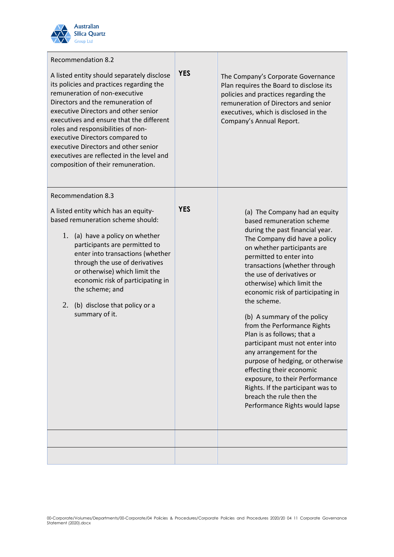

| <b>Recommendation 8.2</b><br>A listed entity should separately disclose<br>its policies and practices regarding the<br>remuneration of non-executive<br>Directors and the remuneration of<br>executive Directors and other senior<br>executives and ensure that the different<br>roles and responsibilities of non-<br>executive Directors compared to<br>executive Directors and other senior<br>executives are reflected in the level and<br>composition of their remuneration. | <b>YES</b> | The Company's Corporate Governance<br>Plan requires the Board to disclose its<br>policies and practices regarding the<br>remuneration of Directors and senior<br>executives, which is disclosed in the<br>Company's Annual Report.                                                                                                                                                                                                                                                                                                                                                                                                                                                                      |
|-----------------------------------------------------------------------------------------------------------------------------------------------------------------------------------------------------------------------------------------------------------------------------------------------------------------------------------------------------------------------------------------------------------------------------------------------------------------------------------|------------|---------------------------------------------------------------------------------------------------------------------------------------------------------------------------------------------------------------------------------------------------------------------------------------------------------------------------------------------------------------------------------------------------------------------------------------------------------------------------------------------------------------------------------------------------------------------------------------------------------------------------------------------------------------------------------------------------------|
| <b>Recommendation 8.3</b><br>A listed entity which has an equity-<br>based remuneration scheme should:<br>1. (a) have a policy on whether<br>participants are permitted to<br>enter into transactions (whether<br>through the use of derivatives<br>or otherwise) which limit the<br>economic risk of participating in<br>the scheme; and<br>2.<br>(b) disclose that policy or a<br>summary of it.                                                                                | <b>YES</b> | (a) The Company had an equity<br>based remuneration scheme<br>during the past financial year.<br>The Company did have a policy<br>on whether participants are<br>permitted to enter into<br>transactions (whether through<br>the use of derivatives or<br>otherwise) which limit the<br>economic risk of participating in<br>the scheme.<br>(b) A summary of the policy<br>from the Performance Rights<br>Plan is as follows; that a<br>participant must not enter into<br>any arrangement for the<br>purpose of hedging, or otherwise<br>effecting their economic<br>exposure, to their Performance<br>Rights. If the participant was to<br>breach the rule then the<br>Performance Rights would lapse |
|                                                                                                                                                                                                                                                                                                                                                                                                                                                                                   |            |                                                                                                                                                                                                                                                                                                                                                                                                                                                                                                                                                                                                                                                                                                         |